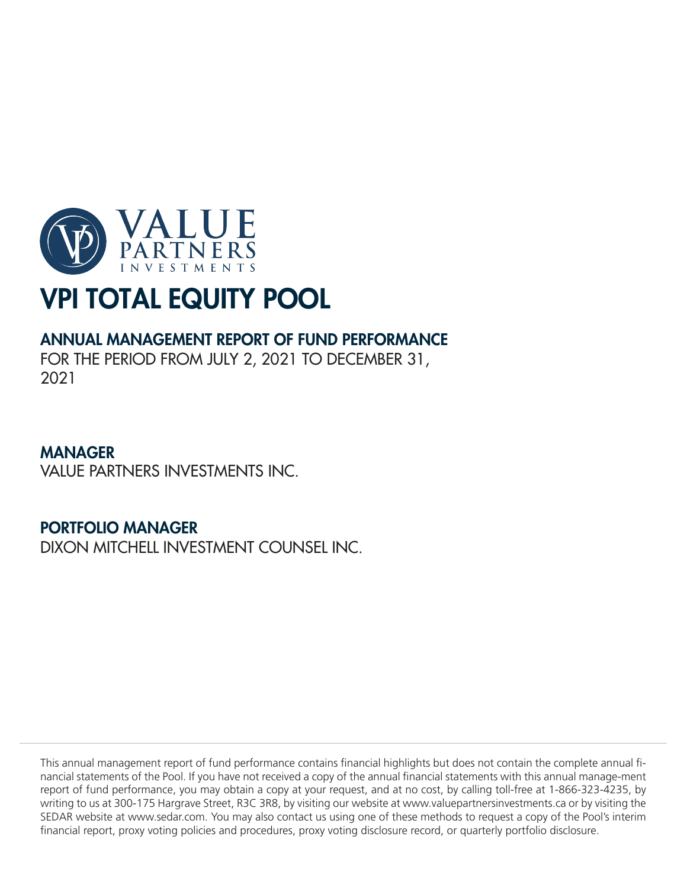

# ANNUAL MANAGEMENT REPORT OF FUND PERFORMANCE

FOR THE PERIOD FROM JULY 2, 2021 TO DECEMBER 31, 2021

# MANAGER

VALUE PARTNERS INVESTMENTS INC.

# PORTFOLIO MANAGER

DIXON MITCHELL INVESTMENT COUNSEL INC.

This annual management report of fund performance contains financial highlights but does not contain the complete annual financial statements of the Pool. If you have not received a copy of the annual financial statements with this annual manage-ment report of fund performance, you may obtain a copy at your request, and at no cost, by calling toll-free at 1-866-323-4235, by writing to us at 300-175 Hargrave Street, R3C 3R8, by visiting our website at www.valuepartnersinvestments.ca or by visiting the SEDAR website at www.sedar.com. You may also contact us using one of these methods to request a copy of the Pool's interim financial report, proxy voting policies and procedures, proxy voting disclosure record, or quarterly portfolio disclosure.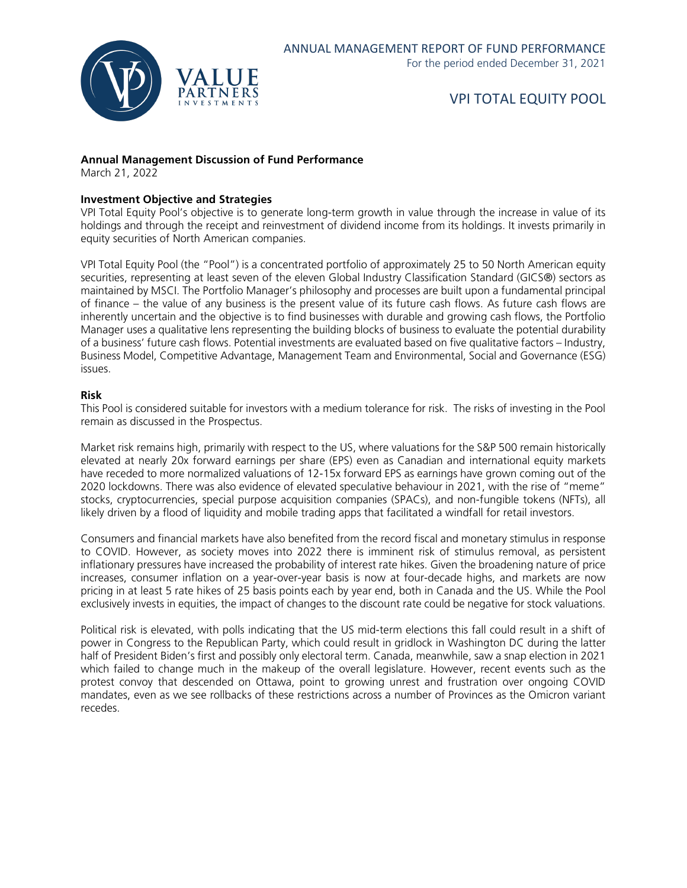

#### **Annual Management Discussion of Fund Performance**

March 21, 2022

#### **Investment Objective and Strategies**

VPI Total Equity Pool's objective is to generate long-term growth in value through the increase in value of its holdings and through the receipt and reinvestment of dividend income from its holdings. It invests primarily in equity securities of North American companies.

VPI Total Equity Pool (the "Pool") is a concentrated portfolio of approximately 25 to 50 North American equity securities, representing at least seven of the eleven Global Industry Classification Standard (GICS®) sectors as maintained by MSCI. The Portfolio Manager's philosophy and processes are built upon a fundamental principal of finance – the value of any business is the present value of its future cash flows. As future cash flows are inherently uncertain and the objective is to find businesses with durable and growing cash flows, the Portfolio Manager uses a qualitative lens representing the building blocks of business to evaluate the potential durability of a business' future cash flows. Potential investments are evaluated based on five qualitative factors – Industry, Business Model, Competitive Advantage, Management Team and Environmental, Social and Governance (ESG) issues.

#### **Risk**

This Pool is considered suitable for investors with a medium tolerance for risk. The risks of investing in the Pool remain as discussed in the Prospectus.

Market risk remains high, primarily with respect to the US, where valuations for the S&P 500 remain historically elevated at nearly 20x forward earnings per share (EPS) even as Canadian and international equity markets have receded to more normalized valuations of 12-15x forward EPS as earnings have grown coming out of the 2020 lockdowns. There was also evidence of elevated speculative behaviour in 2021, with the rise of "meme" stocks, cryptocurrencies, special purpose acquisition companies (SPACs), and non-fungible tokens (NFTs), all likely driven by a flood of liquidity and mobile trading apps that facilitated a windfall for retail investors.

Consumers and financial markets have also benefited from the record fiscal and monetary stimulus in response to COVID. However, as society moves into 2022 there is imminent risk of stimulus removal, as persistent inflationary pressures have increased the probability of interest rate hikes. Given the broadening nature of price increases, consumer inflation on a year-over-year basis is now at four-decade highs, and markets are now pricing in at least 5 rate hikes of 25 basis points each by year end, both in Canada and the US. While the Pool exclusively invests in equities, the impact of changes to the discount rate could be negative for stock valuations.

Political risk is elevated, with polls indicating that the US mid-term elections this fall could result in a shift of power in Congress to the Republican Party, which could result in gridlock in Washington DC during the latter half of President Biden's first and possibly only electoral term. Canada, meanwhile, saw a snap election in 2021 which failed to change much in the makeup of the overall legislature. However, recent events such as the protest convoy that descended on Ottawa, point to growing unrest and frustration over ongoing COVID mandates, even as we see rollbacks of these restrictions across a number of Provinces as the Omicron variant recedes.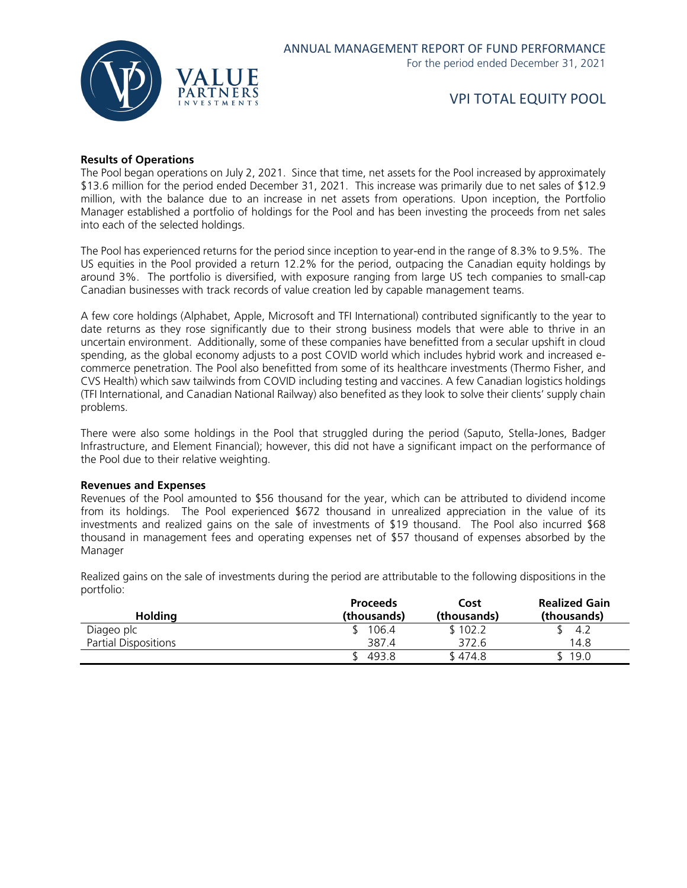

#### **Results of Operations**

The Pool began operations on July 2, 2021. Since that time, net assets for the Pool increased by approximately \$13.6 million for the period ended December 31, 2021. This increase was primarily due to net sales of \$12.9 million, with the balance due to an increase in net assets from operations. Upon inception, the Portfolio Manager established a portfolio of holdings for the Pool and has been investing the proceeds from net sales into each of the selected holdings.

The Pool has experienced returns for the period since inception to year-end in the range of 8.3% to 9.5%. The US equities in the Pool provided a return 12.2% for the period, outpacing the Canadian equity holdings by around 3%. The portfolio is diversified, with exposure ranging from large US tech companies to small-cap Canadian businesses with track records of value creation led by capable management teams.

A few core holdings (Alphabet, Apple, Microsoft and TFI International) contributed significantly to the year to date returns as they rose significantly due to their strong business models that were able to thrive in an uncertain environment. Additionally, some of these companies have benefitted from a secular upshift in cloud spending, as the global economy adjusts to a post COVID world which includes hybrid work and increased ecommerce penetration. The Pool also benefitted from some of its healthcare investments (Thermo Fisher, and CVS Health) which saw tailwinds from COVID including testing and vaccines. A few Canadian logistics holdings (TFI International, and Canadian National Railway) also benefited as they look to solve their clients' supply chain problems.

There were also some holdings in the Pool that struggled during the period (Saputo, Stella-Jones, Badger Infrastructure, and Element Financial); however, this did not have a significant impact on the performance of the Pool due to their relative weighting.

#### **Revenues and Expenses**

Revenues of the Pool amounted to \$56 thousand for the year, which can be attributed to dividend income from its holdings. The Pool experienced \$672 thousand in unrealized appreciation in the value of its investments and realized gains on the sale of investments of \$19 thousand. The Pool also incurred \$68 thousand in management fees and operating expenses net of \$57 thousand of expenses absorbed by the Manager

**Proceeds Cost Realized Gain Holding (thousands) (thousands) (thousands)** Diageo plc \$ 106.4 \$ 102.2 \$ 4.2 Partial Dispositions 14.8 **387.4** 372.6 14.8  $$493.8$   $$474.8$   $$19.0$ 

Realized gains on the sale of investments during the period are attributable to the following dispositions in the portfolio: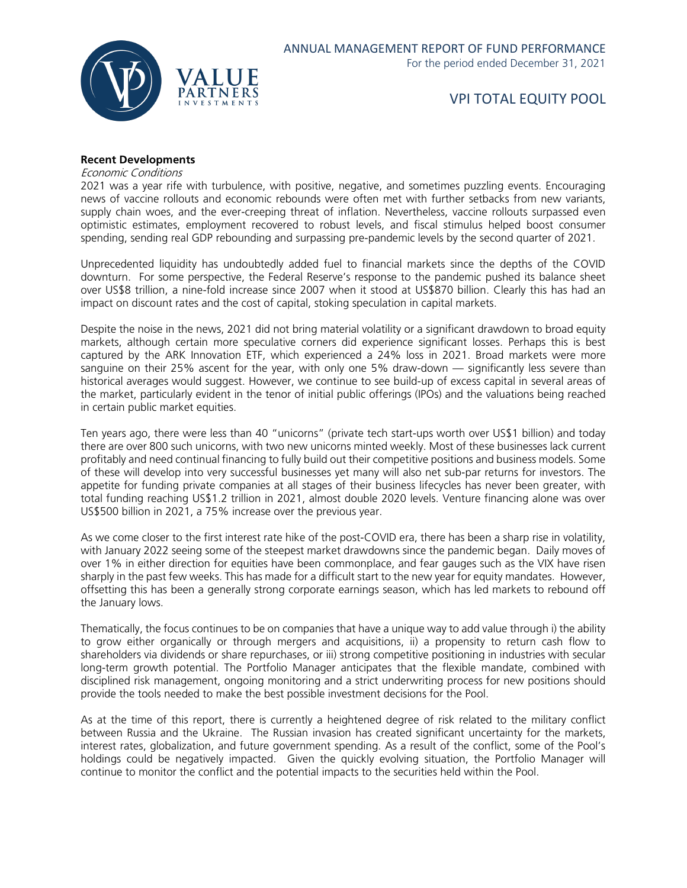

#### **Recent Developments**

Economic Conditions

2021 was a year rife with turbulence, with positive, negative, and sometimes puzzling events. Encouraging news of vaccine rollouts and economic rebounds were often met with further setbacks from new variants, supply chain woes, and the ever-creeping threat of inflation. Nevertheless, vaccine rollouts surpassed even optimistic estimates, employment recovered to robust levels, and fiscal stimulus helped boost consumer spending, sending real GDP rebounding and surpassing pre-pandemic levels by the second quarter of 2021.

Unprecedented liquidity has undoubtedly added fuel to financial markets since the depths of the COVID downturn. For some perspective, the Federal Reserve's response to the pandemic pushed its balance sheet over US\$8 trillion, a nine-fold increase since 2007 when it stood at US\$870 billion. Clearly this has had an impact on discount rates and the cost of capital, stoking speculation in capital markets.

Despite the noise in the news, 2021 did not bring material volatility or a significant drawdown to broad equity markets, although certain more speculative corners did experience significant losses. Perhaps this is best captured by the ARK Innovation ETF, which experienced a 24% loss in 2021. Broad markets were more sanguine on their 25% ascent for the year, with only one 5% draw-down — significantly less severe than historical averages would suggest. However, we continue to see build-up of excess capital in several areas of the market, particularly evident in the tenor of initial public offerings (IPOs) and the valuations being reached in certain public market equities.

Ten years ago, there were less than 40 "unicorns" (private tech start-ups worth over US\$1 billion) and today there are over 800 such unicorns, with two new unicorns minted weekly. Most of these businesses lack current profitably and need continual financing to fully build out their competitive positions and business models. Some of these will develop into very successful businesses yet many will also net sub-par returns for investors. The appetite for funding private companies at all stages of their business lifecycles has never been greater, with total funding reaching US\$1.2 trillion in 2021, almost double 2020 levels. Venture financing alone was over US\$500 billion in 2021, a 75% increase over the previous year.

As we come closer to the first interest rate hike of the post-COVID era, there has been a sharp rise in volatility, with January 2022 seeing some of the steepest market drawdowns since the pandemic began. Daily moves of over 1% in either direction for equities have been commonplace, and fear gauges such as the VIX have risen sharply in the past few weeks. This has made for a difficult start to the new year for equity mandates. However, offsetting this has been a generally strong corporate earnings season, which has led markets to rebound off the January lows.

Thematically, the focus continues to be on companies that have a unique way to add value through i) the ability to grow either organically or through mergers and acquisitions, ii) a propensity to return cash flow to shareholders via dividends or share repurchases, or iii) strong competitive positioning in industries with secular long-term growth potential. The Portfolio Manager anticipates that the flexible mandate, combined with disciplined risk management, ongoing monitoring and a strict underwriting process for new positions should provide the tools needed to make the best possible investment decisions for the Pool.

As at the time of this report, there is currently a heightened degree of risk related to the military conflict between Russia and the Ukraine. The Russian invasion has created significant uncertainty for the markets, interest rates, globalization, and future government spending. As a result of the conflict, some of the Pool's holdings could be negatively impacted. Given the quickly evolving situation, the Portfolio Manager will continue to monitor the conflict and the potential impacts to the securities held within the Pool.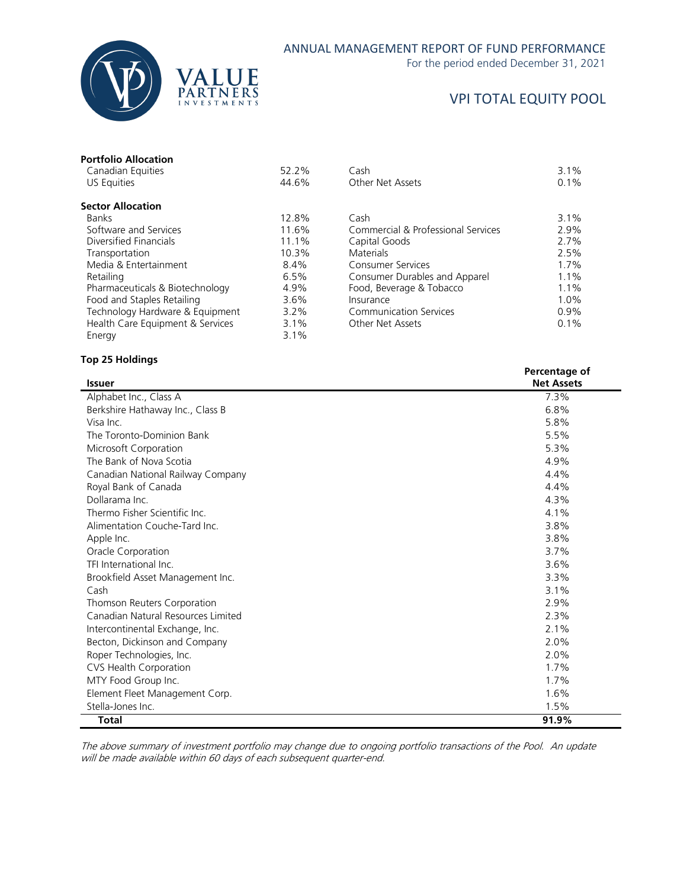

#### ANNUAL MANAGEMENT REPORT OF FUND PERFORMANCE

For the period ended December 31, 2021

### VPI TOTAL EQUITY POOL

| <b>Portfolio Allocation</b> |       |                                    |      |
|-----------------------------|-------|------------------------------------|------|
| Canadian Equities           | 52.2% | Cash                               | 3.1% |
| US Equities                 | 44.6% | Other Net Assets                   | 0.1% |
| <b>Sector Allocation</b>    |       |                                    |      |
| <b>Banks</b>                | 12.8% | Cash                               | 3.1% |
| Software and Services       | 11.6% | Commercial & Professional Services | 2.9% |
| Diversified Financials      | 11.1% | Capital Goods                      | 2.7% |
| Transportation              | 10.3% | <b>Materials</b>                   | 2.5% |
| Media & Entertainment       | 8.4%  | <b>Consumer Services</b>           | 1.7% |

Pharmaceuticals & Biotechnology 4.9% Food and Staples Retailing 3.6%<br>Technology Hardware & Equipment 3.2% Technology Hardware & Equipment 3.2%<br>Health Care Equipment & Services 3.1% Health Care Equipment & Services 3.1%<br>Energy 3.1%

| ector Allocation                 |         |                                    |         |
|----------------------------------|---------|------------------------------------|---------|
| Banks                            | 12.8%   | Cash                               | 3.1%    |
| Software and Services            | 11.6%   | Commercial & Professional Services | 2.9%    |
| Diversified Financials           | 11.1%   | Capital Goods                      | 2.7%    |
| Transportation                   | 10.3%   | <b>Materials</b>                   | 2.5%    |
| Media & Entertainment            | 8.4%    | <b>Consumer Services</b>           | $1.7\%$ |
| Retailing                        | 6.5%    | Consumer Durables and Apparel      | $1.1\%$ |
| Pharmaceuticals & Biotechnology  | 4.9%    | Food, Beverage & Tobacco           | $1.1\%$ |
| Food and Staples Retailing       | $3.6\%$ | Insurance                          | $1.0\%$ |
| Technology Hardware & Equipment  | $3.2\%$ | <b>Communication Services</b>      | $0.9\%$ |
| Health Care Equipment & Services | 3.1%    | Other Net Assets                   | $0.1\%$ |
|                                  |         |                                    |         |

#### **Top 25 Holdings**

Energy

|                                    | Percentage of     |
|------------------------------------|-------------------|
| <b>Issuer</b>                      | <b>Net Assets</b> |
| Alphabet Inc., Class A             | 7.3%              |
| Berkshire Hathaway Inc., Class B   | 6.8%              |
| Visa Inc.                          | 5.8%              |
| The Toronto-Dominion Bank          | 5.5%              |
| Microsoft Corporation              | 5.3%              |
| The Bank of Nova Scotia            | 4.9%              |
| Canadian National Railway Company  | 4.4%              |
| Royal Bank of Canada               | 4.4%              |
| Dollarama Inc.                     | 4.3%              |
| Thermo Fisher Scientific Inc.      | 4.1%              |
| Alimentation Couche-Tard Inc.      | 3.8%              |
| Apple Inc.                         | 3.8%              |
| Oracle Corporation                 | 3.7%              |
| TFI International Inc.             | 3.6%              |
| Brookfield Asset Management Inc.   | 3.3%              |
| Cash                               | 3.1%              |
| Thomson Reuters Corporation        | 2.9%              |
| Canadian Natural Resources Limited | 2.3%              |
| Intercontinental Exchange, Inc.    | 2.1%              |
| Becton, Dickinson and Company      | 2.0%              |
| Roper Technologies, Inc.           | 2.0%              |
| CVS Health Corporation             | 1.7%              |
| MTY Food Group Inc.                | 1.7%              |
| Element Fleet Management Corp.     | 1.6%              |
| Stella-Jones Inc.                  | 1.5%              |
| <b>Total</b>                       | 91.9%             |

The above summary of investment portfolio may change due to ongoing portfolio transactions of the Pool. An update will be made available within 60 days of each subsequent quarter-end.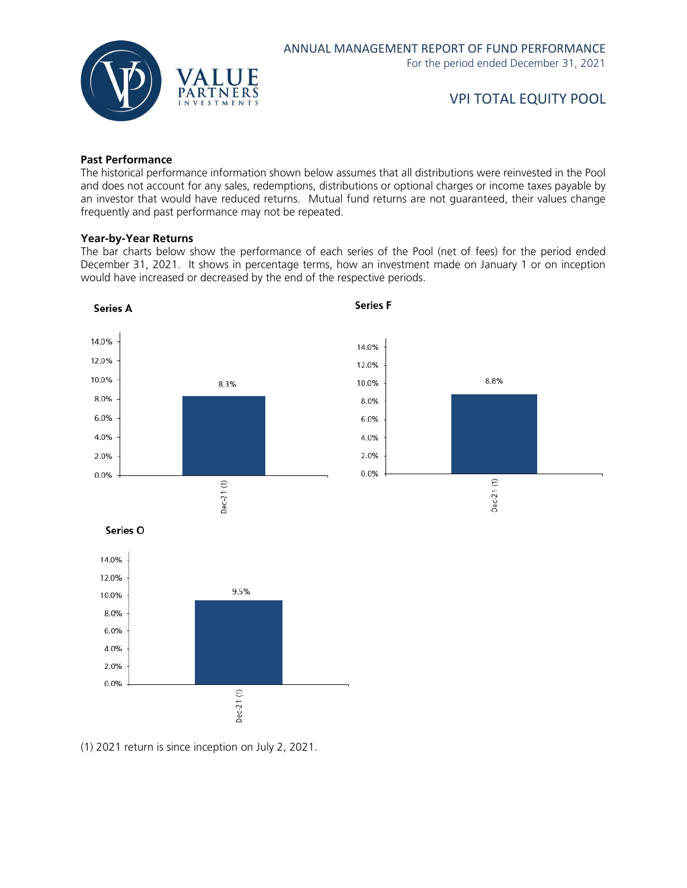

#### **Past Performance**

The historical performance information shown below assumes that all distributions were reinvested in the Pool and does not account for any sales, redemptions, distributions or optional charges or income taxes payable by an investor that would have reduced returns. Mutual fund returns are not guaranteed, their values change frequently and past performance may not be repeated.

#### **Year-by-Year Returns**

The bar charts below show the performance of each series of the Pool (net of fees) for the period ended December 31, 2021. It shows in percentage terms, how an investment made on January 1 or on inception would have increased or decreased by the end of the respective periods.



(1) 2021 return is since inception on July 2, 2021.

Dec-21(1)

 $0.0%$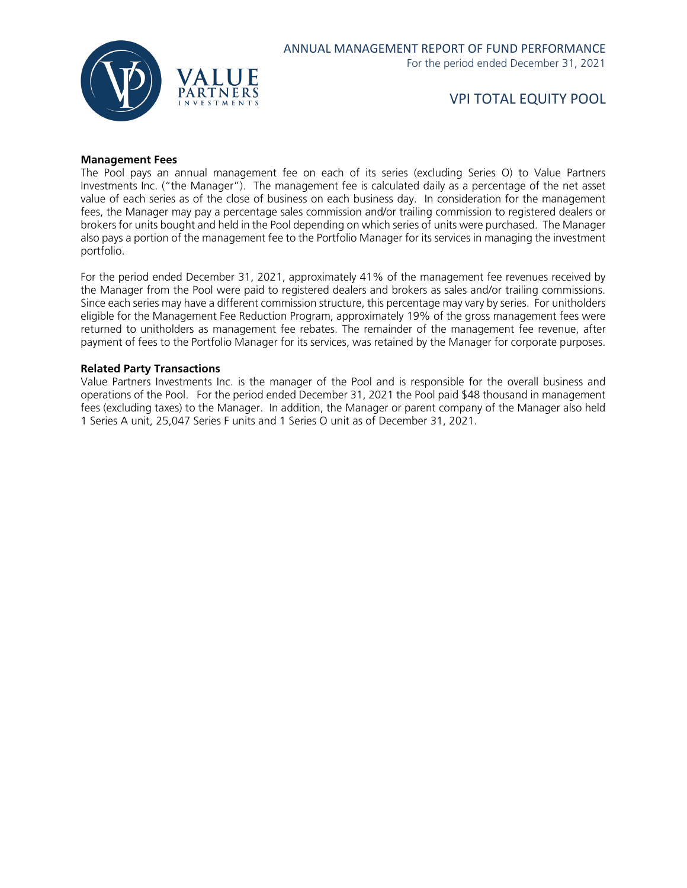

#### **Management Fees**

The Pool pays an annual management fee on each of its series (excluding Series O) to Value Partners Investments Inc. ("the Manager"). The management fee is calculated daily as a percentage of the net asset value of each series as of the close of business on each business day. In consideration for the management fees, the Manager may pay a percentage sales commission and/or trailing commission to registered dealers or brokers for units bought and held in the Pool depending on which series of units were purchased. The Manager also pays a portion of the management fee to the Portfolio Manager for its services in managing the investment portfolio.

For the period ended December 31, 2021, approximately 41% of the management fee revenues received by the Manager from the Pool were paid to registered dealers and brokers as sales and/or trailing commissions. Since each series may have a different commission structure, this percentage may vary by series. For unitholders eligible for the Management Fee Reduction Program, approximately 19% of the gross management fees were returned to unitholders as management fee rebates. The remainder of the management fee revenue, after payment of fees to the Portfolio Manager for its services, was retained by the Manager for corporate purposes.

#### **Related Party Transactions**

Value Partners Investments Inc. is the manager of the Pool and is responsible for the overall business and operations of the Pool. For the period ended December 31, 2021 the Pool paid \$48 thousand in management fees (excluding taxes) to the Manager. In addition, the Manager or parent company of the Manager also held 1 Series A unit, 25,047 Series F units and 1 Series O unit as of December 31, 2021.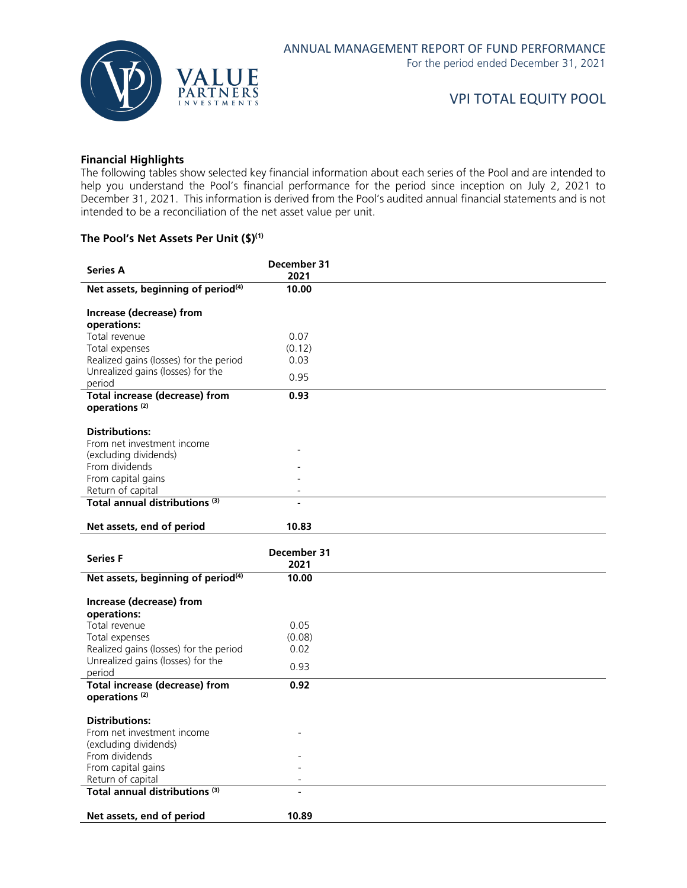

#### **Financial Highlights**

The following tables show selected key financial information about each series of the Pool and are intended to help you understand the Pool's financial performance for the period since inception on July 2, 2021 to December 31, 2021. This information is derived from the Pool's audited annual financial statements and is not intended to be a reconciliation of the net asset value per unit.

#### **The Pool's Net Assets Per Unit (\$)(1)**

| <b>Series A</b>                                                    | December 31    |  |
|--------------------------------------------------------------------|----------------|--|
| Net assets, beginning of period <sup>(4)</sup>                     | 2021<br>10.00  |  |
|                                                                    |                |  |
| Increase (decrease) from                                           |                |  |
| operations:                                                        |                |  |
| Total revenue<br>Total expenses                                    | 0.07<br>(0.12) |  |
| Realized gains (losses) for the period                             | 0.03           |  |
| Unrealized gains (losses) for the                                  |                |  |
| period                                                             | 0.95           |  |
| <b>Total increase (decrease) from</b>                              | 0.93           |  |
| operations <sup>(2)</sup>                                          |                |  |
| <b>Distributions:</b>                                              |                |  |
| From net investment income                                         |                |  |
| (excluding dividends)                                              |                |  |
| From dividends                                                     |                |  |
| From capital gains                                                 |                |  |
| Return of capital<br>Total annual distributions <sup>(3)</sup>     |                |  |
|                                                                    |                |  |
| Net assets, end of period                                          | 10.83          |  |
|                                                                    |                |  |
|                                                                    | December 31    |  |
| <b>Series F</b>                                                    | 2021           |  |
| Net assets, beginning of period <sup>(4)</sup>                     | 10.00          |  |
|                                                                    |                |  |
| Increase (decrease) from<br>operations:                            |                |  |
| Total revenue                                                      | 0.05           |  |
| Total expenses                                                     | (0.08)         |  |
| Realized gains (losses) for the period                             | 0.02           |  |
| Unrealized gains (losses) for the                                  | 0.93           |  |
| period                                                             | 0.92           |  |
| <b>Total increase (decrease) from</b><br>operations <sup>(2)</sup> |                |  |
|                                                                    |                |  |
| <b>Distributions:</b>                                              |                |  |
| From net investment income<br>(excluding dividends)                |                |  |
| From dividends                                                     |                |  |
| From capital gains                                                 |                |  |
| Return of capital                                                  |                |  |
| Total annual distributions <sup>(3)</sup>                          |                |  |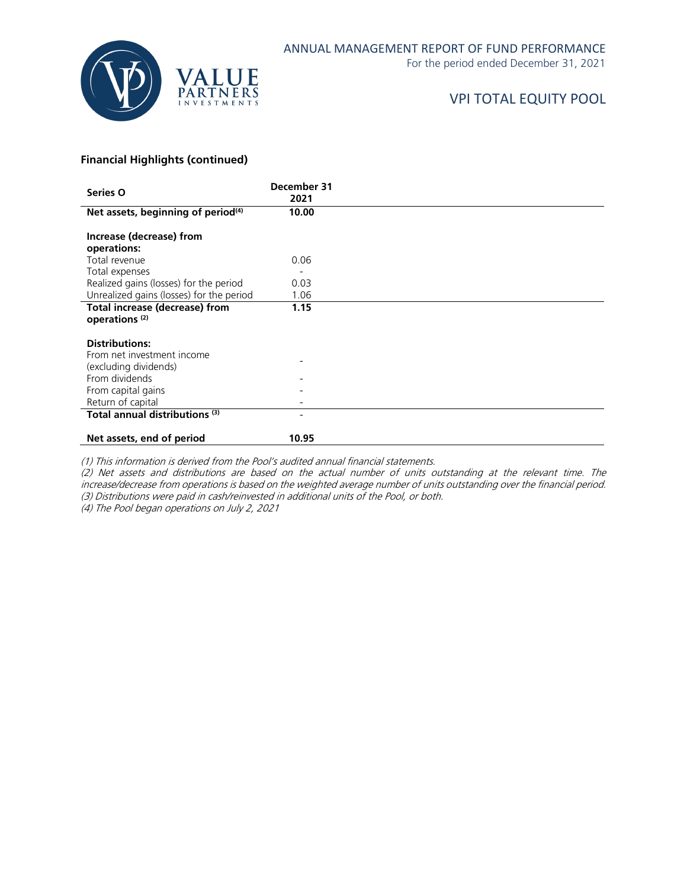

For the period ended December 31, 2021

# VPI TOTAL EQUITY POOL

#### **Financial Highlights (continued)**

| Series O                                                           | December 31<br>2021 |  |
|--------------------------------------------------------------------|---------------------|--|
| Net assets, beginning of period <sup>(4)</sup>                     | 10.00               |  |
| Increase (decrease) from<br>operations:                            |                     |  |
| Total revenue                                                      | 0.06                |  |
| Total expenses                                                     |                     |  |
| Realized gains (losses) for the period                             | 0.03                |  |
| Unrealized gains (losses) for the period                           | 1.06                |  |
| <b>Total increase (decrease) from</b><br>operations <sup>(2)</sup> | 1.15                |  |
| <b>Distributions:</b>                                              |                     |  |
| From net investment income                                         |                     |  |
| (excluding dividends)                                              |                     |  |
| From dividends                                                     |                     |  |
| From capital gains                                                 |                     |  |
| Return of capital                                                  |                     |  |
| Total annual distributions <sup>(3)</sup>                          |                     |  |
| Net assets, end of period                                          | 10.95               |  |

(1) This information is derived from the Pool's audited annual financial statements.

(2) Net assets and distributions are based on the actual number of units outstanding at the relevant time. The increase/decrease from operations is based on the weighted average number of units outstanding over the financial period. (3) Distributions were paid in cash/reinvested in additional units of the Pool, or both.

(4) The Pool began operations on July 2, 2021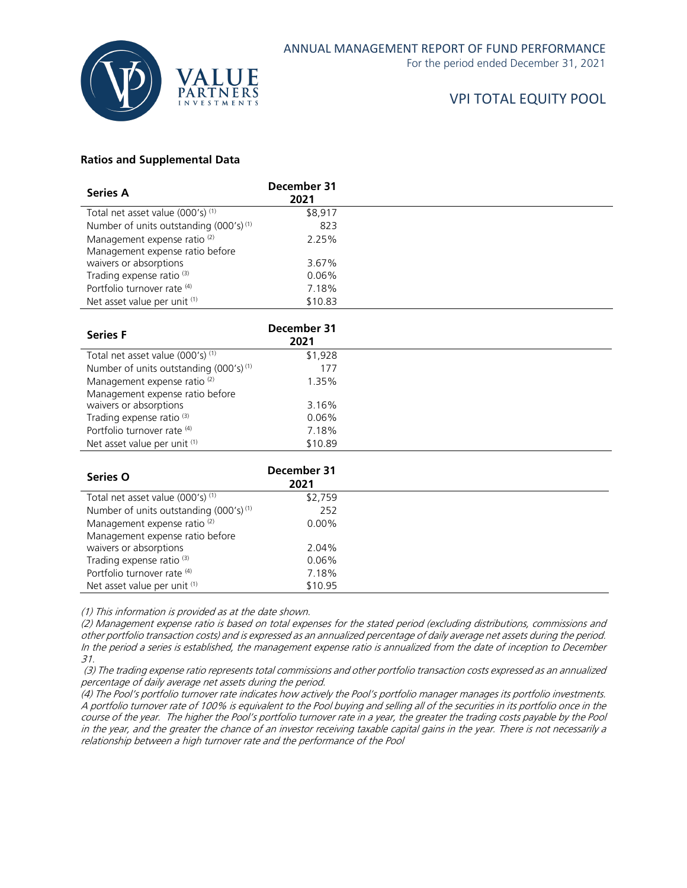

For the period ended December 31, 2021

# VPI TOTAL EQUITY POOL

#### **Ratios and Supplemental Data**

| <b>Series A</b>                                    | December 31<br>2021 |  |
|----------------------------------------------------|---------------------|--|
| Total net asset value (000's) (1)                  | \$8,917             |  |
| Number of units outstanding (000's) <sup>(1)</sup> | 823                 |  |
| Management expense ratio <sup>(2)</sup>            | 2.25%               |  |
| Management expense ratio before                    |                     |  |
| waivers or absorptions                             | 3.67%               |  |
| Trading expense ratio <sup>(3)</sup>               | $0.06\%$            |  |
| Portfolio turnover rate (4)                        | 7.18%               |  |
| Net asset value per unit (1)                       | \$10.83             |  |

| <b>Series F</b>                                    | December 31<br>2021 |  |
|----------------------------------------------------|---------------------|--|
| Total net asset value (000's) <sup>(1)</sup>       | \$1,928             |  |
| Number of units outstanding (000's) <sup>(1)</sup> | 177                 |  |
| Management expense ratio <sup>(2)</sup>            | 1.35%               |  |
| Management expense ratio before                    |                     |  |
| waivers or absorptions                             | 3.16%               |  |
| Trading expense ratio <sup>(3)</sup>               | $0.06\%$            |  |
| Portfolio turnover rate (4)                        | 7.18%               |  |
| Net asset value per unit (1)                       | \$10.89             |  |

| <b>Series O</b>                                    | December 31<br>2021 |  |
|----------------------------------------------------|---------------------|--|
| Total net asset value (000's) (1)                  | \$2,759             |  |
| Number of units outstanding (000's) <sup>(1)</sup> | 252                 |  |
| Management expense ratio <sup>(2)</sup>            | $0.00\%$            |  |
| Management expense ratio before                    |                     |  |
| waivers or absorptions                             | 2.04%               |  |
| Trading expense ratio <sup>(3)</sup>               | $0.06\%$            |  |
| Portfolio turnover rate (4)                        | 7.18%               |  |
| Net asset value per unit (1)                       | \$10.95             |  |

(1) This information is provided as at the date shown.

(2) Management expense ratio is based on total expenses for the stated period (excluding distributions, commissions and other portfolio transaction costs) and is expressed as an annualized percentage of daily average net assets during the period. In the period a series is established, the management expense ratio is annualized from the date of inception to December 31.

(3) The trading expense ratio represents total commissions and other portfolio transaction costs expressed as an annualized percentage of daily average net assets during the period.

(4) The Pool's portfolio turnover rate indicates how actively the Pool's portfolio manager manages its portfolio investments. A portfolio turnover rate of 100% is equivalent to the Pool buying and selling all of the securities in its portfolio once in the course of the year. The higher the Pool's portfolio turnover rate in a year, the greater the trading costs payable by the Pool in the year, and the greater the chance of an investor receiving taxable capital gains in the year. There is not necessarily a relationship between a high turnover rate and the performance of the Pool